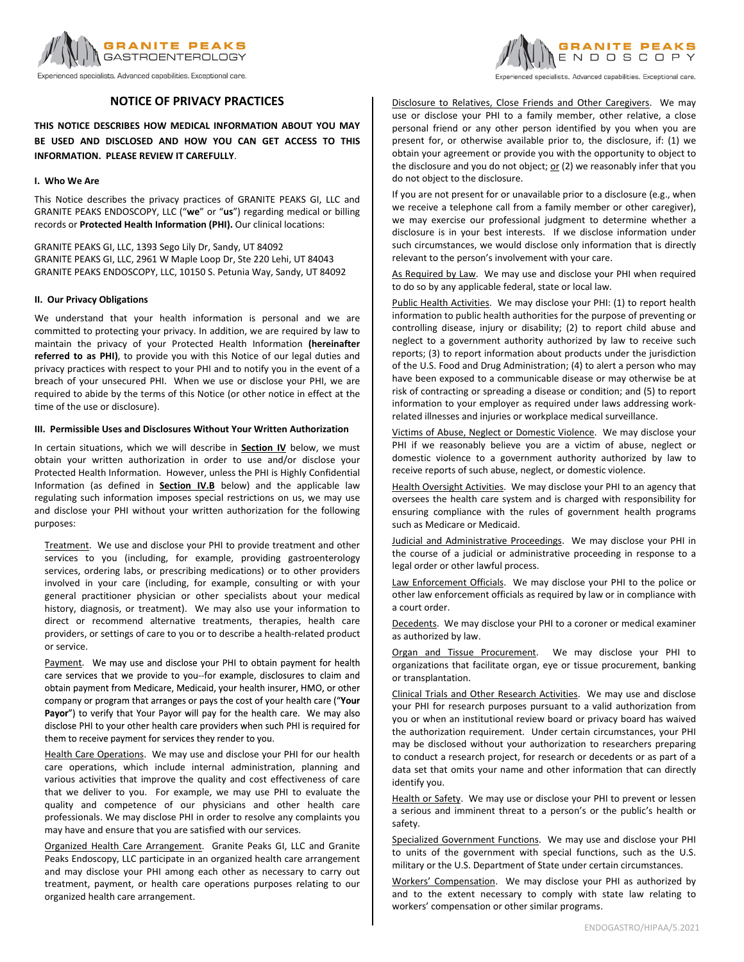

Experienced specialists. Advanced capabilities. Exceptional care.

# **NOTICE OF PRIVACY PRACTICES**

**THIS NOTICE DESCRIBES HOW MEDICAL INFORMATION ABOUT YOU MAY BE USED AND DISCLOSED AND HOW YOU CAN GET ACCESS TO THIS INFORMATION. PLEASE REVIEW IT CAREFULLY**.

## **I. Who We Are**

This Notice describes the privacy practices of GRANITE PEAKS GI, LLC and GRANITE PEAKS ENDOSCOPY, LLC ("**we**" or "**us**") regarding medical or billing records or **Protected Health Information (PHI).** Our clinical locations:

GRANITE PEAKS GI, LLC, 1393 Sego Lily Dr, Sandy, UT 84092 GRANITE PEAKS GI, LLC, 2961 W Maple Loop Dr, Ste 220 Lehi, UT 84043 GRANITE PEAKS ENDOSCOPY, LLC, 10150 S. Petunia Way, Sandy, UT 84092

## **II. Our Privacy Obligations**

We understand that your health information is personal and we are committed to protecting your privacy. In addition, we are required by law to maintain the privacy of your Protected Health Information **(hereinafter referred to as PHI)**, to provide you with this Notice of our legal duties and privacy practices with respect to your PHI and to notify you in the event of a breach of your unsecured PHI. When we use or disclose your PHI, we are required to abide by the terms of this Notice (or other notice in effect at the time of the use or disclosure).

## **III. Permissible Uses and Disclosures Without Your Written Authorization**

In certain situations, which we will describe in **Section IV** below, we must obtain your written authorization in order to use and/or disclose your Protected Health Information. However, unless the PHI is Highly Confidential Information (as defined in **Section IV.B** below) and the applicable law regulating such information imposes special restrictions on us, we may use and disclose your PHI without your written authorization for the following purposes:

Treatment. We use and disclose your PHI to provide treatment and other services to you (including, for example, providing gastroenterology services, ordering labs, or prescribing medications) or to other providers involved in your care (including, for example, consulting or with your general practitioner physician or other specialists about your medical history, diagnosis, or treatment). We may also use your information to direct or recommend alternative treatments, therapies, health care providers, or settings of care to you or to describe a health‐related product or service.

Payment. We may use and disclose your PHI to obtain payment for health care services that we provide to you--for example, disclosures to claim and obtain payment from Medicare, Medicaid, your health insurer, HMO, or other company or program that arranges or pays the cost of your health care ("Your Payor") to verify that Your Payor will pay for the health care. We may also disclose PHI to your other health care providers when such PHI is required for them to receive payment for services they render to you.

Health Care Operations. We may use and disclose your PHI for our health care operations, which include internal administration, planning and various activities that improve the quality and cost effectiveness of care that we deliver to you. For example, we may use PHI to evaluate the quality and competence of our physicians and other health care professionals. We may disclose PHI in order to resolve any complaints you may have and ensure that you are satisfied with our services.

Organized Health Care Arrangement. Granite Peaks GI, LLC and Granite Peaks Endoscopy, LLC participate in an organized health care arrangement and may disclose your PHI among each other as necessary to carry out treatment, payment, or health care operations purposes relating to our organized health care arrangement.



Experienced specialists. Advanced capabilities. Exceptional care.

Disclosure to Relatives, Close Friends and Other Caregivers. We may use or disclose your PHI to a family member, other relative, a close personal friend or any other person identified by you when you are present for, or otherwise available prior to, the disclosure, if: (1) we obtain your agreement or provide you with the opportunity to object to the disclosure and you do not object;  $or (2)$  we reasonably infer that you</u> do not object to the disclosure.

If you are not present for or unavailable prior to a disclosure (e.g., when we receive a telephone call from a family member or other caregiver), we may exercise our professional judgment to determine whether a disclosure is in your best interests. If we disclose information under such circumstances, we would disclose only information that is directly relevant to the person's involvement with your care.

As Required by Law. We may use and disclose your PHI when required to do so by any applicable federal, state or local law.

Public Health Activities. We may disclose your PHI: (1) to report health information to public health authorities for the purpose of preventing or controlling disease, injury or disability; (2) to report child abuse and neglect to a government authority authorized by law to receive such reports; (3) to report information about products under the jurisdiction of the U.S. Food and Drug Administration; (4) to alert a person who may have been exposed to a communicable disease or may otherwise be at risk of contracting or spreading a disease or condition; and (5) to report information to your employer as required under laws addressing work‐ related illnesses and injuries or workplace medical surveillance.

Victims of Abuse, Neglect or Domestic Violence. We may disclose your PHI if we reasonably believe you are a victim of abuse, neglect or domestic violence to a government authority authorized by law to receive reports of such abuse, neglect, or domestic violence.

Health Oversight Activities. We may disclose your PHI to an agency that oversees the health care system and is charged with responsibility for ensuring compliance with the rules of government health programs such as Medicare or Medicaid.

Judicial and Administrative Proceedings. We may disclose your PHI in the course of a judicial or administrative proceeding in response to a legal order or other lawful process.

Law Enforcement Officials. We may disclose your PHI to the police or other law enforcement officials as required by law or in compliance with a court order.

Decedents. We may disclose your PHI to a coroner or medical examiner as authorized by law.

Organ and Tissue Procurement. We may disclose your PHI to organizations that facilitate organ, eye or tissue procurement, banking or transplantation.

Clinical Trials and Other Research Activities. We may use and disclose your PHI for research purposes pursuant to a valid authorization from you or when an institutional review board or privacy board has waived the authorization requirement. Under certain circumstances, your PHI may be disclosed without your authorization to researchers preparing to conduct a research project, for research or decedents or as part of a data set that omits your name and other information that can directly identify you.

Health or Safety. We may use or disclose your PHI to prevent or lessen a serious and imminent threat to a person's or the public's health or safety.

Specialized Government Functions. We may use and disclose your PHI to units of the government with special functions, such as the U.S. military or the U.S. Department of State under certain circumstances.

Workers' Compensation. We may disclose your PHI as authorized by and to the extent necessary to comply with state law relating to workers' compensation or other similar programs.